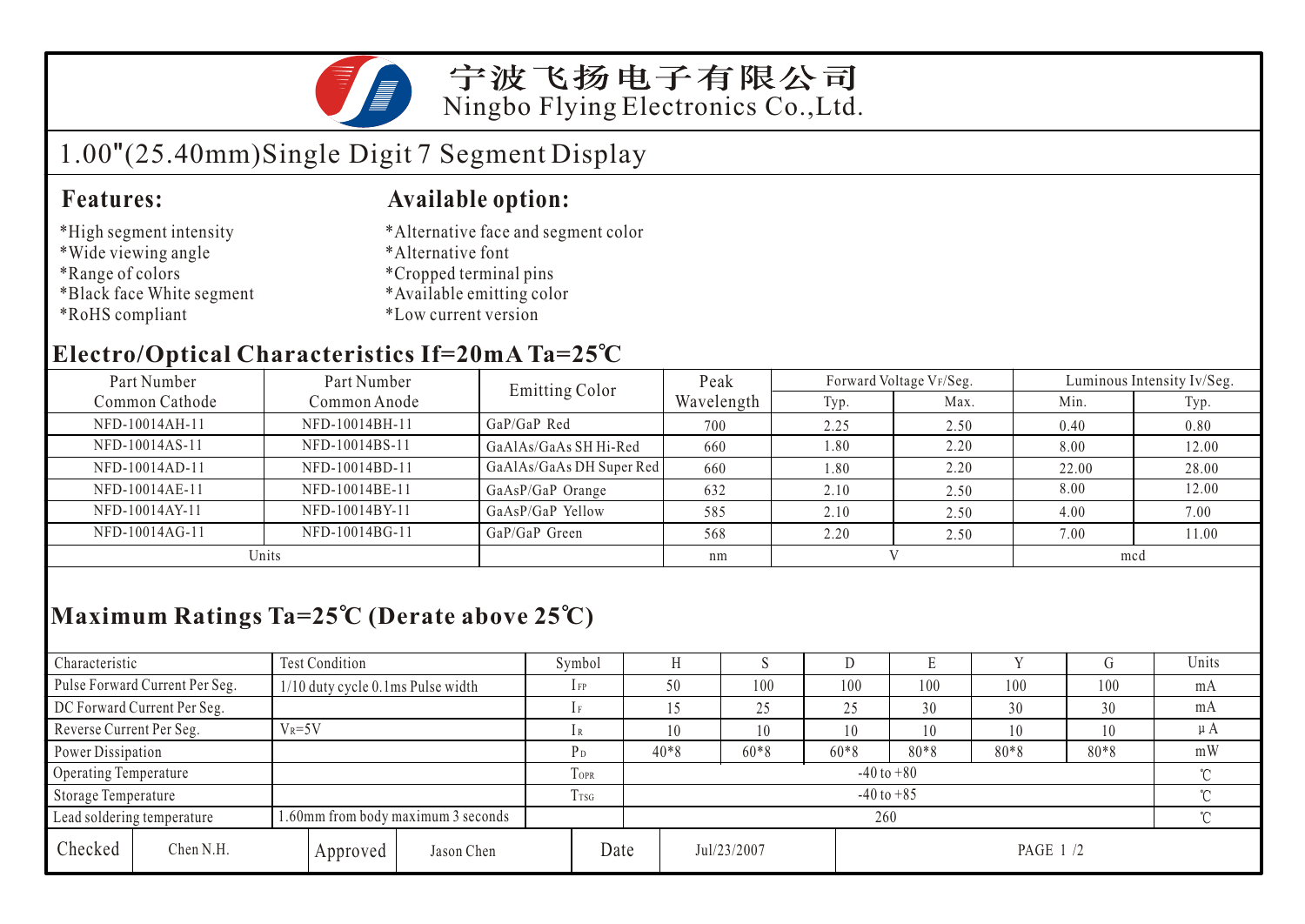

宁波飞扬电子有限公司 Ningbo Flying Electronics Co.,Ltd.

# 1.00"(25.40mm)Single Digit 7 Segment Display

### **Features: Available option:**

- \*High segment intensity
- \*Wide viewing angle
- \*Range of colors
- \*Black face White segment
- \*RoHS compliant
- \*Alternative face and segment color
- \*Alternative font
- \*Cropped terminal pins
- \*Available emitting color
- \*Low current version

### **Electro/Optical Characteristics If=20mA Ta=25 C**

| Part Number                                       | Part Number    | <b>Emitting Color</b>    | Peak       | Forward Voltage VF/Seg. |      | Luminous Intensity Iv/Seg. |       |  |
|---------------------------------------------------|----------------|--------------------------|------------|-------------------------|------|----------------------------|-------|--|
| Common Cathode                                    | Common Anode   |                          | Wavelength | Typ.                    | Max. | Min.                       | Typ.  |  |
| NFD-10014AH-11                                    | NFD-10014BH-11 | GaP/GaP Red              | 700        | 2.25                    | 2.50 | 0.40                       | 0.80  |  |
| NFD-10014AS-11                                    | NFD-10014BS-11 | GaAlAs/GaAs SH Hi-Red    | 660        | 08.1                    | 2.20 | 8.00                       | 12.00 |  |
| NFD-10014AD-11                                    | NFD-10014BD-11 | GaAlAs/GaAs DH Super Red | 660        | 1.80                    | 2.20 | 22.00                      | 28.00 |  |
| NFD-10014AE-11                                    | NFD-10014BE-11 | GaAsP/GaP Orange         | 632        | 2.10                    | 2.50 | 8.00                       | 12.00 |  |
| NFD-10014AY-11                                    | NFD-10014BY-11 | GaAsP/GaP Yellow         | 585        | 2.10                    | 2.50 | 4.00                       | 7.00  |  |
| NFD-10014AG-11<br>NFD-10014BG-11<br>GaP/GaP Green |                | 568                      | 2.20       | 2.50                    | 7.00 | 11.00                      |       |  |
| Units                                             |                |                          | nm         |                         |      | mcd                        |       |  |

## **Maximum Ratings Ta=25 C (Derate above 25 C)**

| Characteristic                                                   |                                               | Test Condition                    |          |                |             | Symbol         |        |             |        |        | E        |         |        | Units |  |
|------------------------------------------------------------------|-----------------------------------------------|-----------------------------------|----------|----------------|-------------|----------------|--------|-------------|--------|--------|----------|---------|--------|-------|--|
|                                                                  | Pulse Forward Current Per Seg.                | 1/10 duty cycle 0.1ms Pulse width |          |                |             | $1$ FP         |        | 50          | 100    | 100    | 100      | 100     | 100    | mA    |  |
| DC Forward Current Per Seg.                                      |                                               |                                   |          |                | 1F          |                |        | 25          | 25     | 30     | 30       | 30      | mA     |       |  |
| Reverse Current Per Seg.<br>$V_R = 5V$                           |                                               |                                   |          | 1 R            |             | 10             | 10     | 10          | 10     | 10     | 10       | $\mu A$ |        |       |  |
| Power Dissipation                                                |                                               |                                   |          | P <sub>D</sub> |             | $40*8$         | $60*8$ | $60*8$      | $80*8$ | $80*8$ | $80*8$   | mW      |        |       |  |
|                                                                  | Operating Temperature                         |                                   |          |                | <b>TOPR</b> | $-40$ to $+80$ |        |             |        |        |          |         | $\sim$ |       |  |
|                                                                  | $-40$ to $+85$<br>Storage Temperature<br>Trsg |                                   |          |                |             |                | $\sim$ |             |        |        |          |         |        |       |  |
| 1.60mm from body maximum 3 seconds<br>Lead soldering temperature |                                               |                                   |          |                | 260         |                |        |             |        |        |          |         |        |       |  |
| Checked                                                          | Chen N.H.                                     |                                   | Approved | Jason Chen     |             | Date           |        | Jul/23/2007 |        |        | PAGE 1/2 |         |        |       |  |